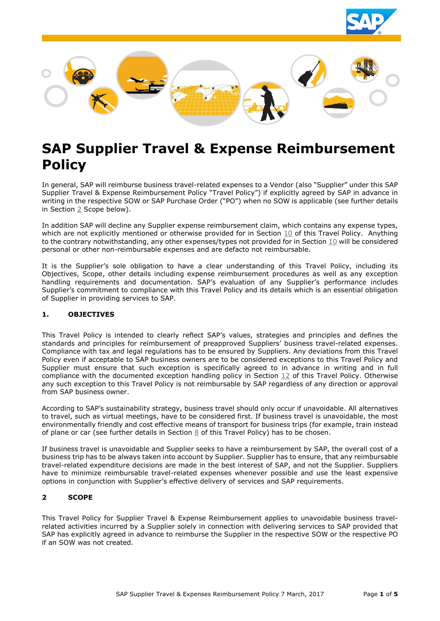



# **SAP Supplier Travel & Expense Reimbursement Policy**

In general, SAP will reimburse business travel-related expenses to a Vendor (also "Supplier" under this SAP Supplier Travel & Expense Reimbursement Policy "Travel Policy") if explicitly agreed by SAP in advance in writing in the respective SOW or SAP Purchase Order ("PO") when no SOW is applicable (see further details in Section [2](#page-0-0) Scope below).

In addition SAP will decline any Supplier expense reimbursement claim, which contains any expense types, which are not explicitly mentioned or otherwise provided for in Section [10](#page-2-0) of this Travel Policy. Anything to the contrary notwithstanding, any other expenses/types not provided for in Section [10](#page-2-0) will be considered personal or other non-reimbursable expenses and are defacto not reimbursable.

It is the Supplier's sole obligation to have a clear understanding of this Travel Policy, including its Objectives, Scope, other details including expense reimbursement procedures as well as any exception handling requirements and documentation. SAP's evaluation of any Supplier's performance includes Supplier's commitment to compliance with this Travel Policy and its details which is an essential obligation of Supplier in providing services to SAP.

## **1. OBJECTIVES**

This Travel Policy is intended to clearly reflect SAP's values, strategies and principles and defines the standards and principles for reimbursement of preapproved Suppliers' business travel-related expenses. Compliance with tax and legal regulations has to be ensured by Suppliers. Any deviations from this Travel Policy even if acceptable to SAP business owners are to be considered exceptions to this Travel Policy and Supplier must ensure that such exception is specifically agreed to in advance in writing and in full compliance with the documented exception handling policy in Section [12](#page-3-0) of this Travel Policy. Otherwise any such exception to this Travel Policy is not reimbursable by SAP regardless of any direction or approval from SAP business owner.

According to SAP's sustainability strategy, business travel should only occur if unavoidable. All alternatives to travel, such as virtual meetings, have to be considered first. If business travel is unavoidable, the most environmentally friendly and cost effective means of transport for business trips (for example, train instead of plane or car (see further details in Section [8](#page-2-1) of this Travel Policy) has to be chosen.

If business travel is unavoidable and Supplier seeks to have a reimbursement by SAP, the overall cost of a business trip has to be always taken into account by Supplier. Supplier has to ensure, that any reimbursable travel-related expenditure decisions are made in the best interest of SAP, and not the Supplier. Suppliers have to minimize reimbursable travel-related expenses whenever possible and use the least expensive options in conjunction with Supplier's effective delivery of services and SAP requirements.

## <span id="page-0-0"></span>**2 SCOPE**

This Travel Policy for Supplier Travel & Expense Reimbursement applies to unavoidable business travelrelated activities incurred by a Supplier solely in connection with delivering services to SAP provided that SAP has explicitly agreed in advance to reimburse the Supplier in the respective SOW or the respective PO if an SOW was not created.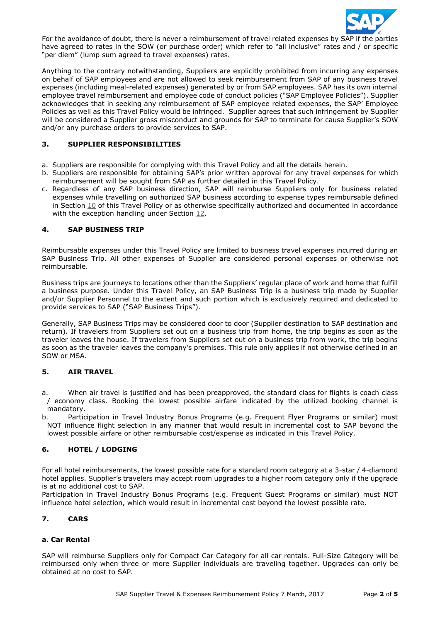

For the avoidance of doubt, there is never a reimbursement of travel related expenses by SAP if the parties have agreed to rates in the SOW (or purchase order) which refer to "all inclusive" rates and / or specific "per diem" (lump sum agreed to travel expenses) rates.

Anything to the contrary notwithstanding, Suppliers are explicitly prohibited from incurring any expenses on behalf of SAP employees and are not allowed to seek reimbursement from SAP of any business travel expenses (including meal-related expenses) generated by or from SAP employees. SAP has its own internal employee travel reimbursement and employee code of conduct policies ("SAP Employee Policies"). Supplier acknowledges that in seeking any reimbursement of SAP employee related expenses, the SAP' Employee Policies as well as this Travel Policy would be infringed. Supplier agrees that such infringement by Supplier will be considered a Supplier gross misconduct and grounds for SAP to terminate for cause Supplier's SOW and/or any purchase orders to provide services to SAP.

## **3. SUPPLIER RESPONSIBILITIES**

- a. Suppliers are responsible for complying with this Travel Policy and all the details herein.
- b. Suppliers are responsible for obtaining SAP's prior written approval for any travel expenses for which reimbursement will be sought from SAP as further detailed in this Travel Policy.
- c. Regardless of any SAP business direction, SAP will reimburse Suppliers only for business related expenses while travelling on authorized SAP business according to expense types reimbursable defined in Section [10](#page-2-0) of this Travel Policy or as otherwise specifically authorized and documented in accordance with the exception handling under Section [12.](#page-3-0)

## **4. SAP BUSINESS TRIP**

Reimbursable expenses under this Travel Policy are limited to business travel expenses incurred during an SAP Business Trip. All other expenses of Supplier are considered personal expenses or otherwise not reimbursable.

Business trips are journeys to locations other than the Suppliers' regular place of work and home that fulfill a business purpose. Under this Travel Policy, an SAP Business Trip is a business trip made by Supplier and/or Supplier Personnel to the extent and such portion which is exclusively required and dedicated to provide services to SAP ("SAP Business Trips").

Generally, SAP Business Trips may be considered door to door (Supplier destination to SAP destination and return). If travelers from Suppliers set out on a business trip from home, the trip begins as soon as the traveler leaves the house. If travelers from Suppliers set out on a business trip from work, the trip begins as soon as the traveler leaves the company's premises. This rule only applies if not otherwise defined in an SOW or MSA.

## **5. AIR TRAVEL**

- a. When air travel is justified and has been preapproved, the standard class for flights is coach class / economy class. Booking the lowest possible airfare indicated by the utilized booking channel is mandatory.
- b. Participation in Travel Industry Bonus Programs (e.g. Frequent Flyer Programs or similar) must NOT influence flight selection in any manner that would result in incremental cost to SAP beyond the lowest possible airfare or other reimbursable cost/expense as indicated in this Travel Policy.

## **6. HOTEL / LODGING**

For all hotel reimbursements, the lowest possible rate for a standard room category at a 3-star / 4-diamond hotel applies. Supplier's travelers may accept room upgrades to a higher room category only if the upgrade is at no additional cost to SAP.

Participation in Travel Industry Bonus Programs (e.g. Frequent Guest Programs or similar) must NOT influence hotel selection, which would result in incremental cost beyond the lowest possible rate.

## **7. CARS**

#### **a. Car Rental**

SAP will reimburse Suppliers only for Compact Car Category for all car rentals. Full-Size Category will be reimbursed only when three or more Supplier individuals are traveling together. Upgrades can only be obtained at no cost to SAP.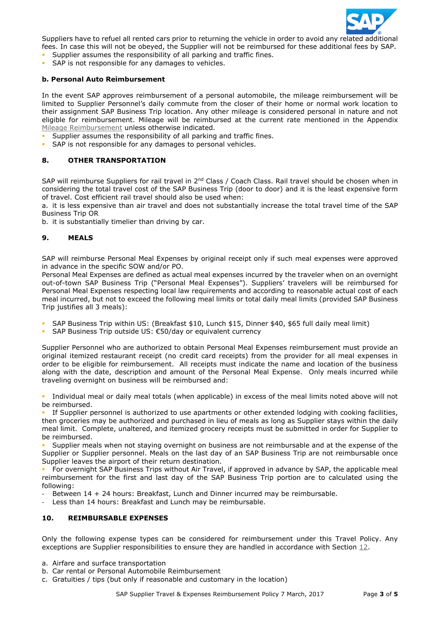

Suppliers have to refuel all rented cars prior to returning the vehicle in order to avoid any related additional fees. In case this will not be obeyed, the Supplier will not be reimbursed for these additional fees by SAP.

- Supplier assumes the responsibility of all parking and traffic fines.
- SAP is not responsible for any damages to vehicles.

#### **b. Personal Auto Reimbursement**

In the event SAP approves reimbursement of a personal automobile, the mileage reimbursement will be limited to Supplier Personnel's daily commute from the closer of their home or normal work location to their assignment SAP Business Trip location. Any other mileage is considered personal in nature and not eligible for reimbursement. Mileage will be reimbursed at the current rate mentioned in the Appendix [Mileage Reimbursement](#page-4-0) unless otherwise indicated.

- Supplier assumes the responsibility of all parking and traffic fines.
- **SAP** is not responsible for any damages to personal vehicles.

#### <span id="page-2-1"></span>**8. OTHER TRANSPORTATION**

SAP will reimburse Suppliers for rail travel in 2<sup>nd</sup> Class / Coach Class. Rail travel should be chosen when in considering the total travel cost of the SAP Business Trip (door to door) and it is the least expensive form of travel. Cost efficient rail travel should also be used when:

a. it is less expensive than air travel and does not substantially increase the total travel time of the SAP Business Trip OR

b. it is substantially timelier than driving by car.

#### **9. MEALS**

SAP will reimburse Personal Meal Expenses by original receipt only if such meal expenses were approved in advance in the specific SOW and/or PO.

Personal Meal Expenses are defined as actual meal expenses incurred by the traveler when on an overnight out-of-town SAP Business Trip ("Personal Meal Expenses"). Suppliers' travelers will be reimbursed for Personal Meal Expenses respecting local law requirements and according to reasonable actual cost of each meal incurred, but not to exceed the following meal limits or total daily meal limits (provided SAP Business Trip justifies all 3 meals):

- SAP Business Trip within US: (Breakfast \$10, Lunch \$15, Dinner \$40, \$65 full daily meal limit)
- SAP Business Trip outside US: €50/day or equivalent currency

Supplier Personnel who are authorized to obtain Personal Meal Expenses reimbursement must provide an original itemized restaurant receipt (no credit card receipts) from the provider for all meal expenses in order to be eligible for reimbursement. All receipts must indicate the name and location of the business along with the date, description and amount of the Personal Meal Expense. Only meals incurred while traveling overnight on business will be reimbursed and:

 Individual meal or daily meal totals (when applicable) in excess of the meal limits noted above will not be reimbursed.

 If Supplier personnel is authorized to use apartments or other extended lodging with cooking facilities, then groceries may be authorized and purchased in lieu of meals as long as Supplier stays within the daily meal limit. Complete, unaltered, and itemized grocery receipts must be submitted in order for Supplier to be reimbursed.

 Supplier meals when not staying overnight on business are not reimbursable and at the expense of the Supplier or Supplier personnel. Meals on the last day of an SAP Business Trip are not reimbursable once Supplier leaves the airport of their return destination.

 For overnight SAP Business Trips without Air Travel, if approved in advance by SAP, the applicable meal reimbursement for the first and last day of the SAP Business Trip portion are to calculated using the following:

Between 14 + 24 hours: Breakfast, Lunch and Dinner incurred may be reimbursable.

- Less than 14 hours: Breakfast and Lunch may be reimbursable.

#### <span id="page-2-0"></span>**10. REIMBURSABLE EXPENSES**

Only the following expense types can be considered for reimbursement under this Travel Policy. Any exceptions are Supplier responsibilities to ensure they are handled in accordance with Section [12.](#page-3-0)

- a. Airfare and surface transportation
- b. Car rental or Personal Automobile Reimbursement
- c. Gratuities / tips (but only if reasonable and customary in the location)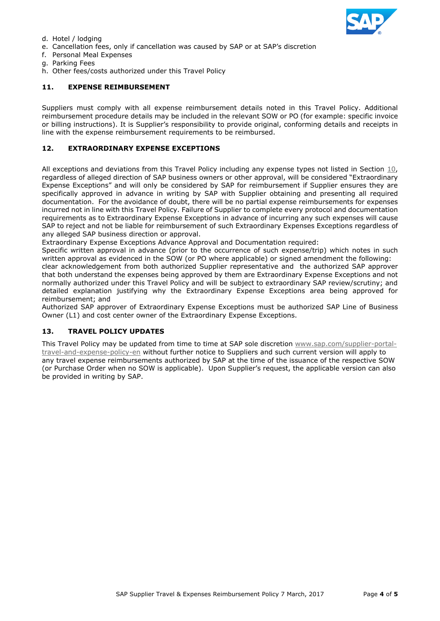

- d. Hotel / lodging
- e. Cancellation fees, only if cancellation was caused by SAP or at SAP's discretion
- f. Personal Meal Expenses
- g. Parking Fees
- h. Other fees/costs authorized under this Travel Policy

#### **11. EXPENSE REIMBURSEMENT**

Suppliers must comply with all expense reimbursement details noted in this Travel Policy. Additional reimbursement procedure details may be included in the relevant SOW or PO (for example: specific invoice or billing instructions). It is Supplier's responsibility to provide original, conforming details and receipts in line with the expense reimbursement requirements to be reimbursed.

## <span id="page-3-0"></span>**12. EXTRAORDINARY EXPENSE EXCEPTIONS**

All exceptions and deviations from this Travel Policy including any expense types not listed in Section  $10$ , regardless of alleged direction of SAP business owners or other approval, will be considered "Extraordinary Expense Exceptions" and will only be considered by SAP for reimbursement if Supplier ensures they are specifically approved in advance in writing by SAP with Supplier obtaining and presenting all required documentation. For the avoidance of doubt, there will be no partial expense reimbursements for expenses incurred not in line with this Travel Policy. Failure of Supplier to complete every protocol and documentation requirements as to Extraordinary Expense Exceptions in advance of incurring any such expenses will cause SAP to reject and not be liable for reimbursement of such Extraordinary Expenses Exceptions regardless of any alleged SAP business direction or approval.

Extraordinary Expense Exceptions Advance Approval and Documentation required:

Specific written approval in advance (prior to the occurrence of such expense/trip) which notes in such written approval as evidenced in the SOW (or PO where applicable) or signed amendment the following:

clear acknowledgement from both authorized Supplier representative and the authorized SAP approver that both understand the expenses being approved by them are Extraordinary Expense Exceptions and not normally authorized under this Travel Policy and will be subject to extraordinary SAP review/scrutiny; and detailed explanation justifying why the Extraordinary Expense Exceptions area being approved for reimbursement; and

Authorized SAP approver of Extraordinary Expense Exceptions must be authorized SAP Line of Business Owner (L1) and cost center owner of the Extraordinary Expense Exceptions.

#### **13. TRAVEL POLICY UPDATES**

This Travel Policy may be updated from time to time at SAP sole discretion [www.sap.com/supplier-portal](http://www.sap.com/supplier-portal-travel-and-expense-policy-en)[travel-and-expense-policy-en](http://www.sap.com/supplier-portal-travel-and-expense-policy-en) without further notice to Suppliers and such current version will apply to any travel expense reimbursements authorized by SAP at the time of the issuance of the respective SOW (or Purchase Order when no SOW is applicable). Upon Supplier's request, the applicable version can also be provided in writing by SAP.